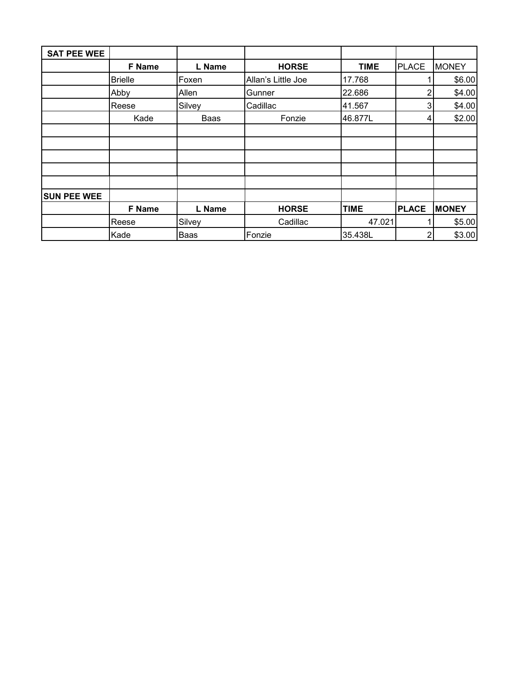| <b>SAT PEE WEE</b> |                |             |                    |             |                |              |
|--------------------|----------------|-------------|--------------------|-------------|----------------|--------------|
|                    | F Name         | L Name      | <b>HORSE</b>       | <b>TIME</b> | <b>PLACE</b>   | <b>MONEY</b> |
|                    | <b>Brielle</b> | Foxen       | Allan's Little Joe | 17.768      |                | \$6.00       |
|                    | Abby           | Allen       | Gunner             | 22.686      | $\overline{2}$ | \$4.00       |
|                    | Reese          | Silvey      | Cadillac           | 41.567      | 3              | \$4.00       |
|                    | Kade           | Baas        | Fonzie             | 46.877L     | 4              | \$2.00       |
|                    |                |             |                    |             |                |              |
|                    |                |             |                    |             |                |              |
|                    |                |             |                    |             |                |              |
|                    |                |             |                    |             |                |              |
|                    |                |             |                    |             |                |              |
| <b>SUN PEE WEE</b> |                |             |                    |             |                |              |
|                    | F Name         | L Name      | <b>HORSE</b>       | <b>TIME</b> | <b>PLACE</b>   | <b>MONEY</b> |
|                    | Reese          | Silvey      | Cadillac           | 47.021      |                | \$5.00       |
|                    | Kade           | <b>Baas</b> | Fonzie             | 35.438L     | 2              | \$3.00       |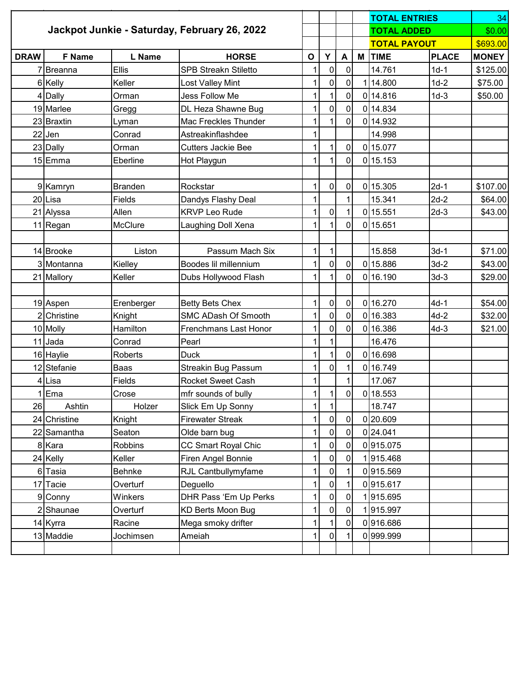|             |                                                                    |                |                             |              |                |                  | <b>TOTAL ENTRIES</b> |              | 34           |
|-------------|--------------------------------------------------------------------|----------------|-----------------------------|--------------|----------------|------------------|----------------------|--------------|--------------|
|             | Jackpot Junkie - Saturday, February 26, 2022<br><b>TOTAL ADDED</b> |                |                             | \$0.00       |                |                  |                      |              |              |
|             |                                                                    |                |                             |              |                |                  | <b>TOTAL PAYOUT</b>  |              | \$693.00     |
| <b>DRAW</b> | <b>F</b> Name                                                      | L Name         | <b>HORSE</b>                | $\mathbf{o}$ | Y              | $\blacktriangle$ | M TIME               | <b>PLACE</b> | <b>MONEY</b> |
|             | 7Breanna                                                           | <b>Ellis</b>   | <b>SPB Streakn Stiletto</b> | 1            | $\pmb{0}$      | $\mathbf 0$      | 14.761               | $1d-1$       | \$125.00     |
|             | 6 Kelly                                                            | Keller         | Lost Valley Mint            | 1            | $\mathsf 0$    | 0                | 1 14.800             | $1d-2$       | \$75.00      |
|             | 4 Dally                                                            | Orman          | Jess Follow Me              |              | $\mathbf{1}$   | 0                | 0 14.816             | $1d-3$       | \$50.00      |
|             | 19 Marlee                                                          | Gregg          | DL Heza Shawne Bug          |              | $\mathbf 0$    | 0                | 0 14.834             |              |              |
|             | 23 Braxtin                                                         | Lyman          | <b>Mac Freckles Thunder</b> |              |                | 0                | 0 14.932             |              |              |
|             | $22$ Jen                                                           | Conrad         | Astreakinflashdee           | 1            |                |                  | 14.998               |              |              |
|             | 23 Dally                                                           | Orman          | <b>Cutters Jackie Bee</b>   | 1            | 1              | 0                | 0 15.077             |              |              |
|             | 15 Emma                                                            | Eberline       | Hot Playgun                 | 1            | 1              | $\overline{0}$   | 0 15.153             |              |              |
|             |                                                                    |                |                             |              |                |                  |                      |              |              |
|             | 9 Kamryn                                                           | <b>Branden</b> | Rockstar                    | 1            | $\mathbf 0$    | $\overline{0}$   | 0 15.305             | $2d-1$       | \$107.00     |
|             | 20Lisa                                                             | Fields         | Dandys Flashy Deal          |              |                |                  | 15.341               | $2d-2$       | \$64.00      |
|             | 21 Alyssa                                                          | Allen          | <b>KRVP Leo Rude</b>        | 1            | 0              |                  | 0 15.551             | $2d-3$       | \$43.00      |
|             | 11 Regan                                                           | <b>McClure</b> | Laughing Doll Xena          | 1            | 1              | $\overline{0}$   | 0 15.651             |              |              |
|             |                                                                    |                |                             |              |                |                  |                      |              |              |
|             | 14 Brooke                                                          | Liston         | Passum Mach Six             | 1            | $\mathbf 1$    |                  | 15.858               | $3d-1$       | \$71.00      |
|             | 3 Montanna                                                         | Kielley        | Boodes lil millennium       |              | $\overline{0}$ | 0                | 0 15.886             | $3d-2$       | \$43.00      |
|             | 21 Mallory                                                         | Keller         | Dubs Hollywood Flash        | 1            | $\mathbf{1}$   | $\overline{0}$   | 0 16.190             | $3d-3$       | \$29.00      |
|             |                                                                    |                |                             |              |                |                  |                      |              |              |
|             | 19 Aspen                                                           | Erenberger     | <b>Betty Bets Chex</b>      | 1            | $\pmb{0}$      | 0                | 0 16.270             | $4d-1$       | \$54.00      |
|             | 2 Christine                                                        | Knight         | <b>SMC ADash Of Smooth</b>  | 1            | 0              | $\overline{0}$   | 0 16.383             | $4d-2$       | \$32.00      |
|             | 10 Molly                                                           | Hamilton       | Frenchmans Last Honor       | 1            | $\mathbf 0$    | $\overline{0}$   | 0 16.386             | $4d-3$       | \$21.00      |
|             | 11 Jada                                                            | Conrad         | Pearl                       |              | 1              |                  | 16.476               |              |              |
|             | 16 Haylie                                                          | Roberts        | <b>Duck</b>                 | 1            | 1              | $\overline{0}$   | 0 16.698             |              |              |
|             | 12 Stefanie                                                        | Baas           | Streakin Bug Passum         | 1            | 0              |                  | 0 16.749             |              |              |
|             | 4 Lisa                                                             | Fields         | <b>Rocket Sweet Cash</b>    |              |                |                  | 17.067               |              |              |
|             | 1Ema                                                               | Crose          | mfr sounds of bully         | 11           | 1              | 0                | 0 18.553             |              |              |
| 26          | Ashtin                                                             | Holzer         | Slick Em Up Sonny           |              |                |                  | 18.747               |              |              |
|             | 24 Christine                                                       | Knight         | <b>Firewater Streak</b>     |              | 0              | 0                | 0 20.609             |              |              |
|             | 22 Samantha                                                        | Seaton         | Olde barn bug               |              | $\pmb{0}$      | 0                | 0 24.041             |              |              |
|             | 8 Kara                                                             | Robbins        | CC Smart Royal Chic         |              | $\pmb{0}$      | $\overline{0}$   | 0915.075             |              |              |
|             | 24 Kelly                                                           | Keller         | Firen Angel Bonnie          |              | 0              | 0                | 1915.468             |              |              |
|             | 6 Tasia                                                            | Behnke         | RJL Cantbullymyfame         |              | $\pmb{0}$      |                  | 0915.569             |              |              |
|             | 17 Tacie                                                           | Overturf       | Deguello                    |              | 0              |                  | 0915.617             |              |              |
|             | 9 Conny                                                            | Winkers        | DHR Pass 'Em Up Perks       |              | $\pmb{0}$      | $\overline{0}$   | 1915.695             |              |              |
|             | 2 Shaunae                                                          | Overturf       | <b>KD Berts Moon Bug</b>    |              | 0              | 0                | 1915.997             |              |              |
|             | 14 Kyrra                                                           | Racine         | Mega smoky drifter          |              | $\mathbf{1}$   | 0                | 0916.686             |              |              |
|             | 13 Maddie                                                          | Jochimsen      | Ameiah                      |              | $\mathbf 0$    |                  | 0999.999             |              |              |
|             |                                                                    |                |                             |              |                |                  |                      |              |              |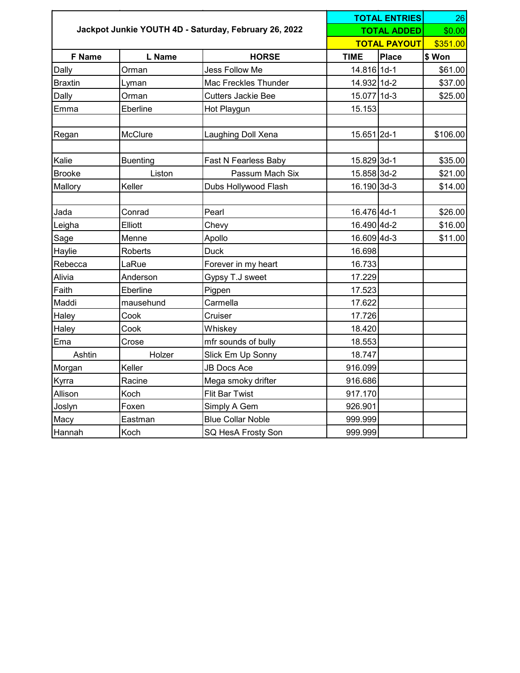| Jackpot Junkie YOUTH 4D - Saturday, February 26, 2022 |                 |                           |             | <b>TOTAL ENTRIES</b> |          |  |
|-------------------------------------------------------|-----------------|---------------------------|-------------|----------------------|----------|--|
|                                                       |                 |                           |             | <b>TOTAL ADDED</b>   | \$0.00   |  |
|                                                       |                 |                           |             | <b>TOTAL PAYOUT</b>  |          |  |
| F Name                                                | L Name          | <b>HORSE</b>              | <b>TIME</b> | Place                | \$ Won   |  |
| Dally                                                 | Orman           | Jess Follow Me            | 14.816 1d-1 |                      | \$61.00  |  |
| <b>Braxtin</b>                                        | Lyman           | Mac Freckles Thunder      | 14.932 1d-2 |                      | \$37.00  |  |
| Dally                                                 | Orman           | <b>Cutters Jackie Bee</b> | 15.077 1d-3 |                      | \$25.00  |  |
| Emma                                                  | Eberline        | Hot Playgun               | 15.153      |                      |          |  |
| Regan                                                 | McClure         | Laughing Doll Xena        | 15.651 2d-1 |                      | \$106.00 |  |
| Kalie                                                 | <b>Buenting</b> | Fast N Fearless Baby      | 15.829 3d-1 |                      | \$35.00  |  |
| <b>Brooke</b>                                         | Liston          | Passum Mach Six           | 15.858 3d-2 |                      | \$21.00  |  |
| Mallory                                               | Keller          | Dubs Hollywood Flash      | 16.190 3d-3 |                      | \$14.00  |  |
| Jada                                                  | Conrad          | Pearl                     | 16.476 4d-1 |                      | \$26.00  |  |
| Leigha                                                | Elliott         | Chevy                     | 16.490 4d-2 |                      | \$16.00  |  |
| Sage                                                  | Menne           | Apollo                    | 16.609 4d-3 |                      | \$11.00  |  |
| Haylie                                                | Roberts         | <b>Duck</b>               | 16.698      |                      |          |  |
| Rebecca                                               | LaRue           | Forever in my heart       | 16.733      |                      |          |  |
| Alivia                                                | Anderson        | Gypsy T.J sweet           | 17.229      |                      |          |  |
| Faith                                                 | Eberline        | Pigpen                    | 17.523      |                      |          |  |
| Maddi                                                 | mausehund       | Carmella                  | 17.622      |                      |          |  |
| Haley                                                 | Cook            | Cruiser                   | 17.726      |                      |          |  |
| Haley                                                 | Cook            | Whiskey                   | 18.420      |                      |          |  |
| Ema                                                   | Crose           | mfr sounds of bully       | 18.553      |                      |          |  |
| Ashtin                                                | Holzer          | Slick Em Up Sonny         | 18.747      |                      |          |  |
| Morgan                                                | Keller          | <b>JB Docs Ace</b>        | 916.099     |                      |          |  |
| Kyrra                                                 | Racine          | Mega smoky drifter        | 916.686     |                      |          |  |
| Allison                                               | Koch            | <b>Flit Bar Twist</b>     | 917.170     |                      |          |  |
| Joslyn                                                | Foxen           | Simply A Gem              | 926.901     |                      |          |  |
| Macy                                                  | Eastman         | <b>Blue Collar Noble</b>  | 999.999     |                      |          |  |
| Hannah                                                | Koch            | SQ HesA Frosty Son        | 999.999     |                      |          |  |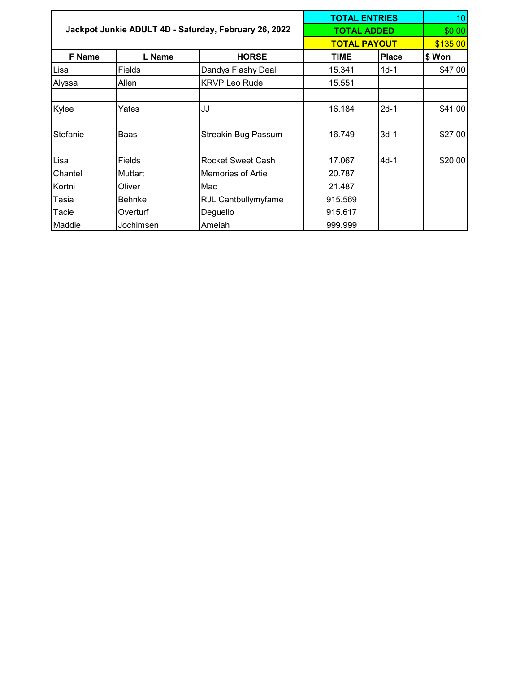|          |                                                       |                            | <b>TOTAL ENTRIES</b> |              | 10       |
|----------|-------------------------------------------------------|----------------------------|----------------------|--------------|----------|
|          | Jackpot Junkie ADULT 4D - Saturday, February 26, 2022 | <b>TOTAL ADDED</b>         | \$0.00               |              |          |
|          |                                                       |                            | <b>TOTAL PAYOUT</b>  |              | \$135.00 |
| F Name   | L Name                                                | <b>HORSE</b>               | <b>TIME</b>          | <b>Place</b> | \$ Won   |
| Lisa     | Fields                                                | Dandys Flashy Deal         | 15.341               | $1d-1$       | \$47.00  |
| Alyssa   | Allen                                                 | KRVP Leo Rude              | 15.551               |              |          |
| Kylee    | Yates                                                 | IJJ                        | 16.184               | $2d-1$       | \$41.00  |
| Stefanie | Baas                                                  | <b>Streakin Bug Passum</b> | 16.749               | $3d-1$       | \$27.00  |
| Lisa     | Fields                                                | <b>Rocket Sweet Cash</b>   | 17.067               | $4d-1$       | \$20.00  |
| Chantel  | Muttart                                               | Memories of Artie          | 20.787               |              |          |
| Kortni   | Oliver                                                | Mac                        | 21.487               |              |          |
| Tasia    | <b>Behnke</b>                                         | RJL Cantbullymyfame        | 915.569              |              |          |
| Tacie    | Overturf                                              | Deguello                   | 915.617              |              |          |
| Maddie   | Jochimsen                                             | Ameiah                     | 999.999              |              |          |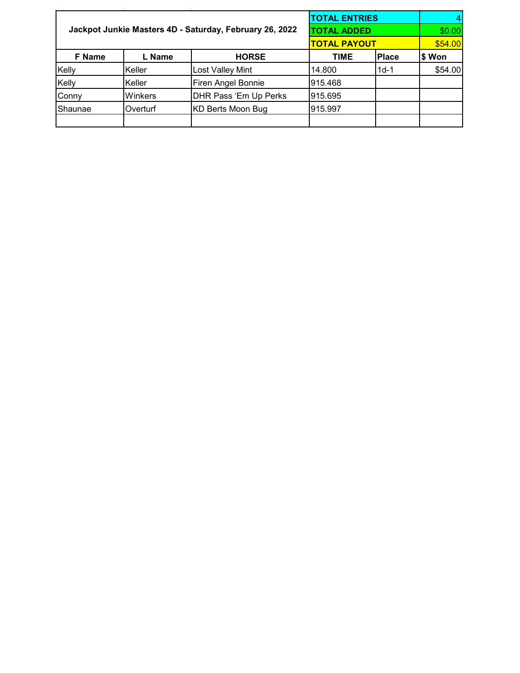|         |                                                         |                       | <b>TOTAL ENTRIES</b> |              |         |
|---------|---------------------------------------------------------|-----------------------|----------------------|--------------|---------|
|         | Jackpot Junkie Masters 4D - Saturday, February 26, 2022 | TOTAL ADDED           | \$0.00               |              |         |
|         |                                                         |                       | <b>TOTAL PAYOUT</b>  | \$54.00      |         |
| F Name  | L Name                                                  | <b>HORSE</b>          | TIME                 | <b>Place</b> | \$ Won  |
| Kelly   | Keller                                                  | Lost Valley Mint      | 14.800               | $1d-1$       | \$54.00 |
| Kelly   | Keller                                                  | Firen Angel Bonnie    | 915.468              |              |         |
| Conny   | Winkers                                                 | DHR Pass 'Em Up Perks | 915.695              |              |         |
| Shaunae | Overturf                                                | KD Berts Moon Bug     | 915.997              |              |         |
|         |                                                         |                       |                      |              |         |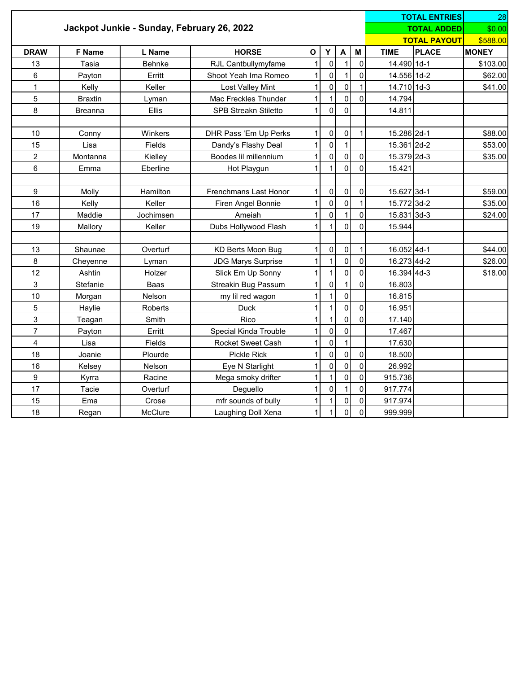|                                            |                |                |                              |              |                     |                |                | <b>TOTAL ENTRIES</b> | 28           |              |
|--------------------------------------------|----------------|----------------|------------------------------|--------------|---------------------|----------------|----------------|----------------------|--------------|--------------|
| Jackpot Junkie - Sunday, February 26, 2022 |                |                |                              |              |                     |                |                | <b>TOTAL ADDED</b>   | \$0.00       |              |
|                                            |                |                |                              |              |                     |                |                | <b>TOTAL PAYOUT</b>  | \$588.00     |              |
| <b>DRAW</b>                                | <b>F</b> Name  | L Name         | <b>HORSE</b>                 | $\mathbf{o}$ | Υ                   | A              | M              | <b>TIME</b>          | <b>PLACE</b> | <b>MONEY</b> |
| 13                                         | Tasia          | Behnke         | RJL Cantbullymyfame          | $\mathbf{1}$ | $\pmb{0}$           | $\mathbf{1}$   | $\mathbf{0}$   | 14.490 1d-1          |              | \$103.00     |
| 6                                          | Payton         | Erritt         | Shoot Yeah Ima Romeo         | $\mathbf{1}$ | $\mathbf 0$         | $\mathbf{1}$   | $\mathbf 0$    | 14.556 1d-2          |              | \$62.00      |
| $\mathbf{1}$                               | Kelly          | Keller         | Lost Valley Mint             | $\mathbf{1}$ | $\pmb{0}$           | $\mathbf 0$    | $\mathbf{1}$   | 14.710 1d-3          |              | \$41.00      |
| 5                                          | <b>Braxtin</b> | Lyman          | Mac Freckles Thunder         | $\mathbf{1}$ | $\mathbf{1}$        | $\mathbf 0$    | $\mathbf 0$    | 14.794               |              |              |
| 8                                          | <b>Breanna</b> | <b>Ellis</b>   | <b>SPB Streakn Stiletto</b>  | $\mathbf{1}$ | $\mathbf 0$         | $\mathbf 0$    |                | 14.811               |              |              |
|                                            |                |                |                              |              |                     |                |                |                      |              |              |
| 10                                         | Conny          | Winkers        | DHR Pass 'Em Up Perks        | $\mathbf 1$  | $\pmb{0}$           | $\mathbf 0$    | $\mathbf{1}$   | 15.286 2d-1          |              | \$88.00      |
| 15                                         | Lisa           | Fields         | Dandy's Flashy Deal          | $\mathbf{1}$ | $\pmb{0}$           | $\mathbf{1}$   |                | 15.361 2d-2          |              | \$53.00      |
| $\overline{c}$                             | Montanna       | Kielley        | Boodes lil millennium        | 1            | $\mathbf 0$         | $\mathbf 0$    | $\mathbf 0$    | 15.379 2d-3          |              | \$35.00      |
| 6                                          | Emma           | Eberline       | Hot Playgun                  | $\mathbf{1}$ | 1                   | $\mathbf{0}$   | $\Omega$       | 15.421               |              |              |
|                                            |                |                |                              |              |                     |                |                |                      |              |              |
| 9                                          | Molly          | Hamilton       | <b>Frenchmans Last Honor</b> | $\mathbf{1}$ | $\mathbf 0$         | $\mathbf 0$    | $\pmb{0}$      | 15.627 3d-1          |              | \$59.00      |
| 16                                         | Kelly          | Keller         | Firen Angel Bonnie           | $\mathbf{1}$ | $\pmb{0}$           | $\overline{0}$ | $\mathbf{1}$   | 15.772 3d-2          |              | \$35.00      |
| 17                                         | Maddie         | Jochimsen      | Ameiah                       | $\mathbf{1}$ | $\mathsf{O}\xspace$ | $\mathbf{1}$   | $\mathbf 0$    | 15.831 3d-3          |              | \$24.00      |
| 19                                         | Mallory        | Keller         | Dubs Hollywood Flash         | $\mathbf{1}$ | $\mathbf{1}$        | $\Omega$       | $\Omega$       | 15.944               |              |              |
|                                            |                |                |                              |              |                     |                |                |                      |              |              |
| 13                                         | Shaunae        | Overturf       | KD Berts Moon Bug            | $\mathbf 1$  | $\pmb{0}$           | $\mathbf 0$    | $\mathbf{1}$   | 16.052 4d-1          |              | \$44.00      |
| 8                                          | Cheyenne       | Lyman          | <b>JDG Marys Surprise</b>    | 1            | $\mathbf{1}$        | $\mathbf 0$    | $\pmb{0}$      | 16.273 4d-2          |              | \$26.00      |
| 12                                         | Ashtin         | Holzer         | Slick Em Up Sonny            | $\mathbf{1}$ | $\mathbf{1}$        | $\mathbf 0$    | $\pmb{0}$      | 16.394 4d-3          |              | \$18.00      |
| 3                                          | Stefanie       | Baas           | Streakin Bug Passum          | 1            | $\mathbf 0$         | $\mathbf{1}$   | $\mathbf 0$    | 16.803               |              |              |
| 10                                         | Morgan         | Nelson         | my lil red wagon             | $\mathbf{1}$ | $\mathbf{1}$        | $\mathbf 0$    |                | 16.815               |              |              |
| 5                                          | Haylie         | <b>Roberts</b> | <b>Duck</b>                  | $\mathbf{1}$ | $\mathbf{1}$        | $\overline{0}$ | $\Omega$       | 16.951               |              |              |
| 3                                          | Teagan         | Smith          | Rico                         | $\mathbf{1}$ | $\mathbf{1}$        | $\mathbf 0$    | $\Omega$       | 17.140               |              |              |
| $\overline{7}$                             | Payton         | Erritt         | Special Kinda Trouble        | $\mathbf{1}$ | $\mathsf 0$         | $\mathbf 0$    |                | 17.467               |              |              |
| 4                                          | Lisa           | Fields         | Rocket Sweet Cash            | $\mathbf{1}$ | $\mathsf 0$         | $\mathbf{1}$   |                | 17.630               |              |              |
| 18                                         | Joanie         | Plourde        | Pickle Rick                  | 1            | $\mathsf 0$         | $\mathbf 0$    | $\pmb{0}$      | 18.500               |              |              |
| 16                                         | Kelsey         | Nelson         | Eye N Starlight              | $\mathbf{1}$ | $\mathsf 0$         | $\mathbf 0$    | $\pmb{0}$      | 26.992               |              |              |
| 9                                          | Kyrra          | Racine         | Mega smoky drifter           | $\mathbf{1}$ | $\mathbf{1}$        | $\pmb{0}$      | $\pmb{0}$      | 915.736              |              |              |
| 17                                         | Tacie          | Overturf       | Deguello                     | $\mathbf{1}$ | $\mathbf 0$         | $\mathbf 1$    | $\pmb{0}$      | 917.774              |              |              |
| 15                                         | Ema            | Crose          | mfr sounds of bully          | 1            | $\mathbf{1}$        | $\mathbf 0$    | $\mathbf 0$    | 917.974              |              |              |
| 18                                         | Regan          | McClure        | Laughing Doll Xena           | 1            | $\mathbf{1}$        | $\mathbf 0$    | $\overline{0}$ | 999.999              |              |              |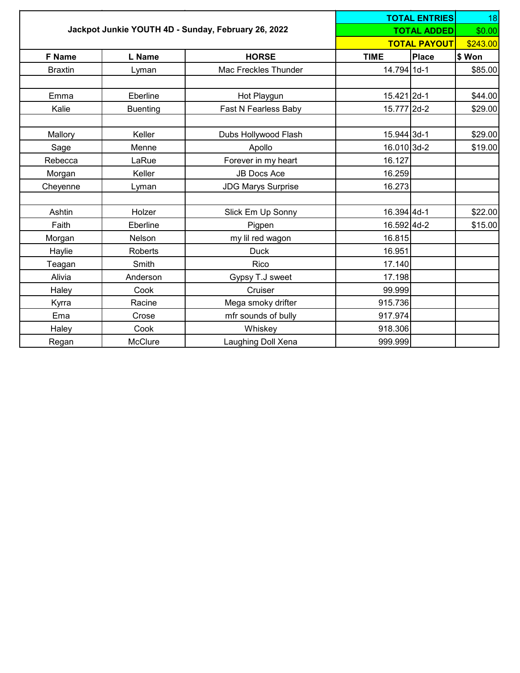| Jackpot Junkie YOUTH 4D - Sunday, February 26, 2022 |                 |                           |             | <b>TOTAL ENTRIES</b><br><b>TOTAL ADDED</b> | 18<br>\$0.00 |  |
|-----------------------------------------------------|-----------------|---------------------------|-------------|--------------------------------------------|--------------|--|
|                                                     |                 |                           |             | <b>TOTAL PAYOUT</b>                        | \$243.00     |  |
| <b>F</b> Name                                       | L Name          | <b>HORSE</b>              | <b>TIME</b> | <b>Place</b>                               | \$ Won       |  |
| <b>Braxtin</b>                                      | Lyman           | Mac Freckles Thunder      | 14.794 1d-1 |                                            | \$85.00      |  |
| Emma                                                | Eberline        | Hot Playgun               | 15.421 2d-1 |                                            | \$44.00      |  |
| Kalie                                               | <b>Buenting</b> | Fast N Fearless Baby      | 15.777 2d-2 |                                            | \$29.00      |  |
| Mallory                                             | Keller          | Dubs Hollywood Flash      | 15.944 3d-1 |                                            | \$29.00      |  |
| Sage                                                | Menne           | Apollo                    | 16.010 3d-2 |                                            | \$19.00      |  |
| Rebecca                                             | LaRue           | Forever in my heart       | 16.127      |                                            |              |  |
| Morgan                                              | Keller          | <b>JB Docs Ace</b>        | 16.259      |                                            |              |  |
| Cheyenne                                            | Lyman           | <b>JDG Marys Surprise</b> | 16.273      |                                            |              |  |
| Ashtin                                              | Holzer          | Slick Em Up Sonny         | 16.394 4d-1 |                                            | \$22.00      |  |
| Faith                                               | Eberline        | Pigpen                    | 16.592 4d-2 |                                            | \$15.00      |  |
| Morgan                                              | Nelson          | my lil red wagon          | 16.815      |                                            |              |  |
| Haylie                                              | Roberts         | <b>Duck</b>               | 16.951      |                                            |              |  |
| Teagan                                              | Smith           | Rico                      | 17.140      |                                            |              |  |
| Alivia                                              | Anderson        | Gypsy T.J sweet           | 17.198      |                                            |              |  |
| Haley                                               | Cook            | Cruiser                   | 99.999      |                                            |              |  |
| Kyrra                                               | Racine          | Mega smoky drifter        | 915.736     |                                            |              |  |
| Ema                                                 | Crose           | mfr sounds of bully       | 917.974     |                                            |              |  |
| Haley                                               | Cook            | Whiskey                   | 918.306     |                                            |              |  |
| Regan                                               | McClure         | Laughing Doll Xena        | 999.999     |                                            |              |  |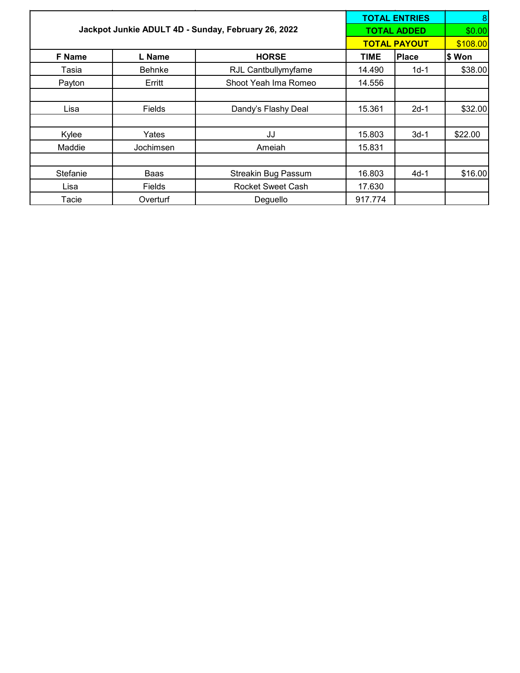|          | Jackpot Junkie ADULT 4D - Sunday, February 26, 2022 |                            | <b>TOTAL ENTRIES</b><br><b>TOTAL ADDED</b> |          |         |
|----------|-----------------------------------------------------|----------------------------|--------------------------------------------|----------|---------|
|          |                                                     |                            | <b>TOTAL PAYOUT</b>                        | \$108.00 |         |
| F Name   | L Name                                              | <b>HORSE</b>               | <b>TIME</b>                                | Place    | \$ Won  |
| Tasia    | <b>Behnke</b>                                       | RJL Cantbullymyfame        | 14.490                                     | $1d-1$   | \$38.00 |
| Payton   | Erritt                                              | Shoot Yeah Ima Romeo       | 14.556                                     |          |         |
|          |                                                     |                            |                                            |          |         |
| Lisa     | Fields                                              | Dandy's Flashy Deal        | 15.361                                     | $2d-1$   | \$32.00 |
|          |                                                     |                            |                                            |          |         |
| Kylee    | Yates                                               | JJ                         | 15.803                                     | $3d-1$   | \$22.00 |
| Maddie   | Jochimsen                                           | Ameiah                     | 15.831                                     |          |         |
|          |                                                     |                            |                                            |          |         |
| Stefanie | Baas                                                | <b>Streakin Bug Passum</b> | 16.803                                     | $4d-1$   | \$16.00 |
| Lisa     | Fields                                              | <b>Rocket Sweet Cash</b>   | 17.630                                     |          |         |
| Tacie    | Overturf                                            | Deguello                   | 917.774                                    |          |         |